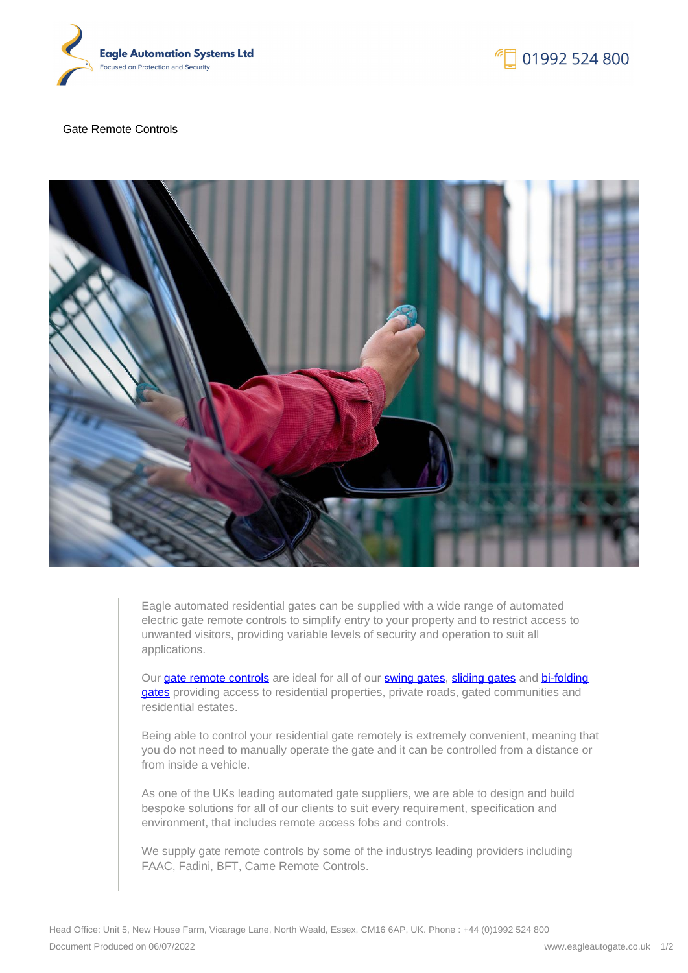

01992 524 800

## Gate Remote Controls



Eagle automated residential gates can be supplied with a wide range of automated electric gate remote controls to simplify entry to your property and to restrict access to unwanted visitors, providing variable levels of security and operation to suit all applications.

Our [gate remote controls](https://eagleautogate.co.uk/gates/residential/gate-remote-controls/gate-remote-controls) are ideal for all of our [swing gates](https://eagleautogate.co.uk/gates/residential-product/swing-gates/steel-electric-swing-gates), [sliding gates](https://eagleautogate.co.uk/gates/residential-product/sliding-gates/steel-electric-sliding-gate) and [bi-folding](https://eagleautogate.co.uk/gates/residential-product/bi-folding-gates/bi-folding-gates) [gates](https://eagleautogate.co.uk/gates/residential-product/bi-folding-gates/bi-folding-gates) providing access to residential properties, private roads, gated communities and residential estates.

Being able to control your residential gate remotely is extremely convenient, meaning that you do not need to manually operate the gate and it can be controlled from a distance or from inside a vehicle.

As one of the UKs leading automated gate suppliers, we are able to design and build bespoke solutions for all of our clients to suit every requirement, specification and environment, that includes remote access fobs and controls.

We supply gate remote controls by some of the industrys leading providers including FAAC, Fadini, BFT, Came Remote Controls.